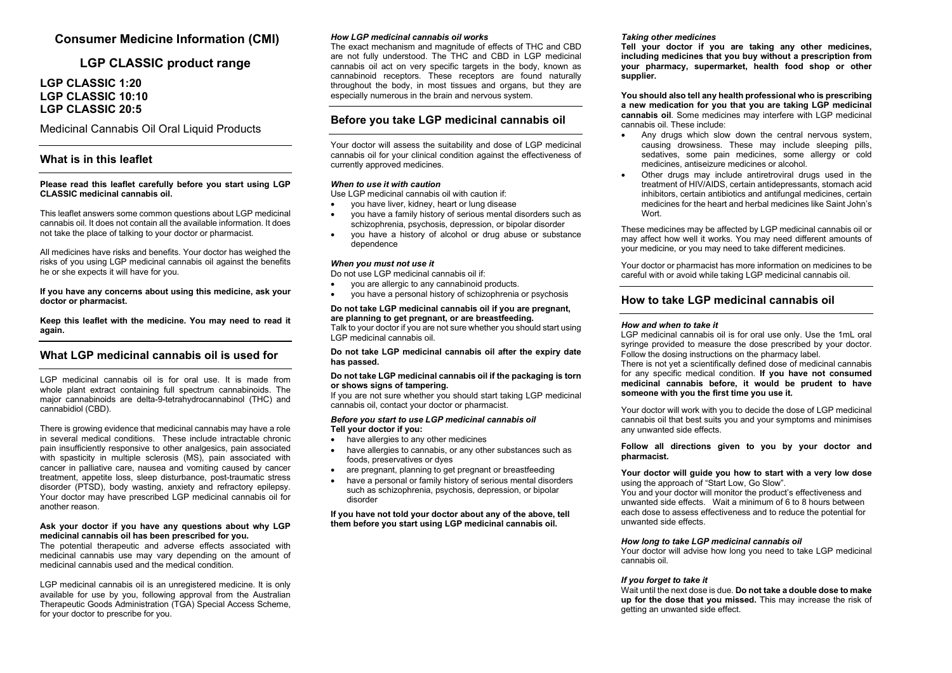# **Consumer Medicine Information (CMI)**

# **LGP CLASSIC product range**

# **LGP CLASSIC 1:20 LGP CLASSIC 10:10 LGP CLASSIC 20:5**

Medicinal Cannabis Oil Oral Liquid Products

## **What is in this leaflet**

### **Please read this leaflet carefully before you start using LGP CLASSIC medicinal cannabis oil.**

This leaflet answers some common questions about LGP medicinal cannabis oil. It does not contain all the available information. It does not take the place of talking to your doctor or pharmacist.

All medicines have risks and benefits. Your doctor has weighed the risks of you using LGP medicinal cannabis oil against the benefits he or she expects it will have for you.

**If you have any concerns about using this medicine, ask your doctor or pharmacist.**

**Keep this leaflet with the medicine. You may need to read it again.**

## **What LGP medicinal cannabis oil is used for**

LGP medicinal cannabis oil is for oral use. It is made from whole plant extract containing full spectrum cannabinoids. The major cannabinoids are delta-9-tetrahydrocannabinol (THC) and cannabidiol (CBD).

There is growing evidence that medicinal cannabis may have a role in several medical conditions. These include intractable chronic pain insufficiently responsive to other analgesics, pain associated with spasticity in multiple sclerosis (MS), pain associated with cancer in palliative care, nausea and vomiting caused by cancer treatment, appetite loss, sleep disturbance, post-traumatic stress disorder (PTSD), body wasting, anxiety and refractory epilepsy. Your doctor may have prescribed LGP medicinal cannabis oil for another reason.

### **Ask your doctor if you have any questions about why LGP medicinal cannabis oil has been prescribed for you.**

The potential therapeutic and adverse effects associated with medicinal cannabis use may vary depending on the amount of medicinal cannabis used and the medical condition.

LGP medicinal cannabis oil is an unregistered medicine. It is only available for use by you, following approval from the Australian Therapeutic Goods Administration (TGA) Special Access Scheme, for your doctor to prescribe for you.

### *How LGP medicinal cannabis oil works*

The exact mechanism and magnitude of effects of THC and CBD are not fully understood. The THC and CBD in LGP medicinal cannabis oil act on very specific targets in the body, known as cannabinoid receptors. These receptors are found naturally throughout the body, in most tissues and organs, but they are especially numerous in the brain and nervous system.

## **Before you take LGP medicinal cannabis oil**

Your doctor will assess the suitability and dose of LGP medicinal cannabis oil for your clinical condition against the effectiveness of currently approved medicines.

### *When to use it with caution*

Use LGP medicinal cannabis oil with caution if:

- you have liver, kidney, heart or lung disease
- you have a family history of serious mental disorders such as schizophrenia, psychosis, depression, or bipolar disorder
- you have a history of alcohol or drug abuse or substance dependence

### *When you must not use it*

Do not use LGP medicinal cannabis oil if:

- you are allergic to any cannabinoid products.
- you have a personal history of schizophrenia or psychosis

## **Do not take LGP medicinal cannabis oil if you are pregnant, are planning to get pregnant, or are breastfeeding.**

Talk to your doctor if you are not sure whether you should start using LGP medicinal cannabis oil.

**Do not take LGP medicinal cannabis oil after the expiry date has passed.**

### **Do not take LGP medicinal cannabis oil if the packaging is torn or shows signs of tampering.**

If you are not sure whether you should start taking LGP medicinal cannabis oil, contact your doctor or pharmacist.

#### *Before you start to use LGP medicinal cannabis oil* **Tell your doctor if you:**

- have allergies to any other medicines
- have allergies to cannabis, or any other substances such as foods, preservatives or dyes
- are pregnant, planning to get pregnant or breastfeeding
- have a personal or family history of serious mental disorders such as schizophrenia, psychosis, depression, or bipolar disorder

**If you have not told your doctor about any of the above, tell them before you start using LGP medicinal cannabis oil.**

### *Taking other medicines*

**Tell your doctor if you are taking any other medicines, including medicines that you buy without a prescription from your pharmacy, supermarket, health food shop or other supplier.**

**You should also tell any health professional who is prescribing a new medication for you that you are taking LGP medicinal cannabis oil**. Some medicines may interfere with LGP medicinal cannabis oil. These include:

- Any drugs which slow down the central nervous system, causing drowsiness. These may include sleeping pills, sedatives, some pain medicines, some allergy or cold medicines, antiseizure medicines or alcohol.
- Other drugs may include antiretroviral drugs used in the treatment of HIV/AIDS, certain antidepressants, stomach acid inhibitors, certain antibiotics and antifungal medicines, certain medicines for the heart and herbal medicines like Saint John's Wort.

These medicines may be affected by LGP medicinal cannabis oil or may affect how well it works. You may need different amounts of your medicine, or you may need to take different medicines.

Your doctor or pharmacist has more information on medicines to be careful with or avoid while taking LGP medicinal cannabis oil.

## **How to take LGP medicinal cannabis oil**

### *How and when to take it*

LGP medicinal cannabis oil is for oral use only. Use the 1mL oral syringe provided to measure the dose prescribed by your doctor. Follow the dosing instructions on the pharmacy label.

There is not yet a scientifically defined dose of medicinal cannabis for any specific medical condition. **If you have not consumed medicinal cannabis before, it would be prudent to have someone with you the first time you use it.**

Your doctor will work with you to decide the dose of LGP medicinal cannabis oil that best suits you and your symptoms and minimises any unwanted side effects.

**Follow all directions given to you by your doctor and pharmacist.** 

#### **Your doctor will guide you how to start with a very low dose** using the approach of "Start Low, Go Slow".

You and your doctor will monitor the product's effectiveness and unwanted side effects. Wait a minimum of 6 to 8 hours between each dose to assess effectiveness and to reduce the potential for unwanted side effects.

### *How long to take LGP medicinal cannabis oil*

Your doctor will advise how long you need to take LGP medicinal cannabis oil.

### *If you forget to take it*

Wait until the next dose is due. **Do not take a double dose to make up for the dose that you missed.** This may increase the risk of getting an unwanted side effect.